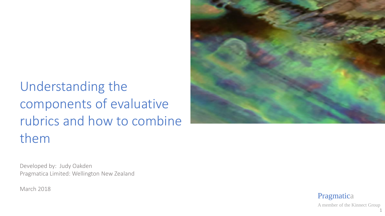# Understanding the components of evaluative rubrics and how to combine them



Developed by: Judy Oakden Pragmatica Limited: Wellington New Zealand

March 2018

Pragmatica

A member of the Kinnect Group 1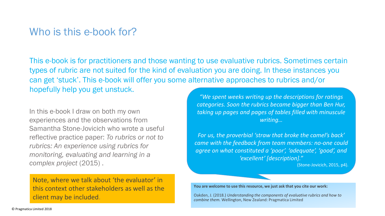# Who is this e-book for?

This e-book is for practitioners and those wanting to use evaluative rubrics. Sometimes certain types of rubric are not suited for the kind of evaluation you are doing. In these instances you can get 'stuck'. This e-book will offer you some alternative approaches to rubrics and/or hopefully help you get unstuck.

In this e-book I draw on both my own experiences and the observations from Samantha Stone-Jovicich who wrote a useful reflective practice paper: *To rubrics or not to rubrics: An experience using rubrics for monitoring, evaluating and learning in a complex project* (2015) .

Note, where we talk about 'the evaluator' in this context other stakeholders as well as the client may be included.

*"We spent weeks writing up the descriptions for ratings categories. Soon the rubrics became bigger than Ben Hur, taking up pages and pages of tables filled with minuscule writing…*

*For us, the proverbial 'straw that broke the camel's back' came with the feedback from team members: no-one could agree on what constituted a 'poor', 'adequate', 'good', and 'excellent' [description]."* 

(Stone-Jovicich, 2015, p4).

**You are welcome to use this resource, we just ask that you cite our work:** 

Oakden, J. (2018.) *Understanding the components of evaluative rubrics and how to combine them.* Wellington, New Zealand: Pragmatica Limited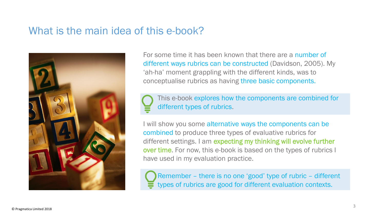# What is the main idea of this e-book?



For some time it has been known that there are a number of different ways rubrics can be constructed (Davidson, 2005). My 'ah-ha' moment grappling with the different kinds, was to conceptualise rubrics as having three basic components.

This e-book explores how the components are combined for different types of rubrics.

I will show you some alternative ways the components can be combined to produce three types of evaluative rubrics for different settings. I am expecting my thinking will evolve further over time. For now, this e-book is based on the types of rubrics I have used in my evaluation practice.

Remember – there is no one 'good' type of rubric – different types of rubrics are good for different evaluation contexts.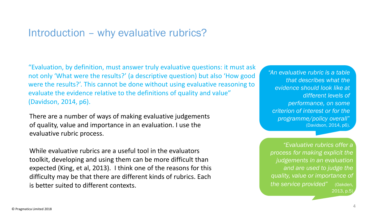# Introduction – why evaluative rubrics?

"Evaluation, by definition, must answer truly evaluative questions: it must ask not only 'What were the results?' (a descriptive question) but also 'How good were the results?'. This cannot be done without using evaluative reasoning to evaluate the evidence relative to the definitions of quality and value" (Davidson, 2014, p6).

There are a number of ways of making evaluative judgements of quality, value and importance in an evaluation. I use the evaluative rubric process.

While evaluative rubrics are a useful tool in the evaluators toolkit, developing and using them can be more difficult than expected (King, et al, 2013). I think one of the reasons for this difficulty may be that there are different kinds of rubrics. Each is better suited to different contexts.

*"An evaluative rubric is a table that describes what the evidence should look like at different levels of performance, on some criterion of interest or for the programme/policy overall*" (Davidson, 2014, p6).

*"Evaluative rubrics offer a process for making explicit the judgements in an evaluation and are used to judge the quality, value or importance of the service provided"* (Oakden, 2013, p.5)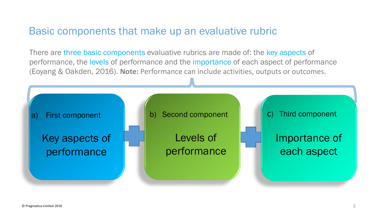# Basic components that make up an evaluative rubric

There are three basic components evaluative rubrics are made of: the key aspects of performance, the levels of performance and the importance of each aspect of performance (Eoyang & Oakden, 2016). **Note:** Performance can include activities, outputs or outcomes.

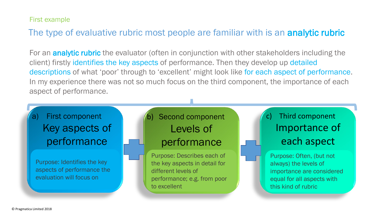First example

### The type of evaluative rubric most people are familiar with is an analytic rubric

For an **analytic rubric** the evaluator (often in conjunction with other stakeholders including the client) firstly identifies the key aspects of performance. Then they develop up detailed descriptions of what 'poor' through to 'excellent' might look like for each aspect of performance. In my experience there was not so much focus on the third component, the importance of each aspect of performance.

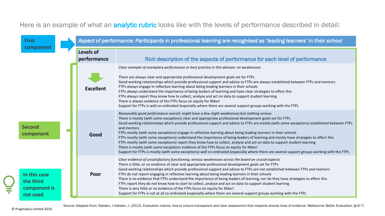#### Here is an example of what an **analytic rubric** looks like with the levels of performance described in detail:

| <b>First</b><br>component                             |                          | Aspect of performance: Participants in professional learning are recognised as 'leading learners' in their school                                                                                                                                                                                                                                                                                                                                                                                                                                                                                                                                                                                                                                                                                                                                                                                                                                                                                  |
|-------------------------------------------------------|--------------------------|----------------------------------------------------------------------------------------------------------------------------------------------------------------------------------------------------------------------------------------------------------------------------------------------------------------------------------------------------------------------------------------------------------------------------------------------------------------------------------------------------------------------------------------------------------------------------------------------------------------------------------------------------------------------------------------------------------------------------------------------------------------------------------------------------------------------------------------------------------------------------------------------------------------------------------------------------------------------------------------------------|
|                                                       | Levels of<br>performance | Rich description of the aspects of performance for each level of performance                                                                                                                                                                                                                                                                                                                                                                                                                                                                                                                                                                                                                                                                                                                                                                                                                                                                                                                       |
|                                                       | <b>Excellent</b>         | Clear example of exemplary performance or best practice in this domain: no weaknesses<br>There are always clear and appropriate professional development goals set for FTPs<br>Good working relationships which provide professional support and advice to FTPs are always established between FTPs and mentors<br>FTPs always engage in reflective learning about being leading learners in their schools<br>FTPs always understand the importance of being leaders of learning and have clear strategies to effect this<br>FTPs always report they know how to collect, analyse and act on data to support student learning<br>There is always evidence of the FTPs focus on equity for Māori<br>Support for FTPs is well co-ordinated (especially where there are several support groups working with the FTP).                                                                                                                                                                                 |
| <b>Second</b><br>component                            | Good                     | Reasonably good performance overall; might have a few slight weaknesses but nothing serious<br>There is mostly (with some exceptions) clear and appropriate professional development goals set for FTPs<br>Good working relationships which provide professional support and advice to FTPs are mostly (with some exceptions) established between FTPs<br>and mentors<br>FTPs mostly (with some exceptions) engage in reflective learning about being leading learners in their schools<br>FTPs mostly (with some exceptions) understand the importance of being leaders of learning and mostly have strategies to effect this<br>FTPs mostly (with some exceptions) report they know how to collect, analyse and act on data to support student learning<br>There is mostly (with some exceptions evidence of the FTPs focus on equity for Māori<br>Support for FTPs is mostly (with some exceptions) well co-ordinated (especially where there are several support groups working with the FTP). |
| In this case<br>the third<br>component is<br>not used | Poor                     | Clear evidence of unsatisfactory functioning; serious weaknesses across the board on crucial aspects<br>There is little, or no evidence of clear and appropriate professional development goals set for FTPs<br>Good working relationships which provide professional support and advice to FTPs are not established between FTPs and mentors<br>FTPs do not report engaging in reflective learning about being leading learners in their schools<br>There is no evidence that FTPs understand the importance of being leaders of learning, nor do they have strategies to effect this<br>FTPs report they do not know how to start to collect, analyse and act on data to support student learning<br>There is very little or no evidence of the FTPs focus on equity for Māori<br>Support for FTPs is not at all co-ordinated (especially where there are several support groups working with the FTP).                                                                                          |

E

Source: Adapted from: Oakden, J Oakden, J. (2013). Evaluation rubrics: how to ensure transparent and clear assessment that respects diverse lines of evidence. Melbourne: Better Evaluation. To.6-7)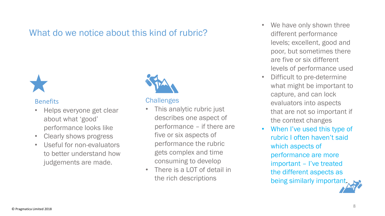### What do we notice about this kind of rubric?



#### Benefits

- Helps everyone get clear about what 'good' performance looks like
- Clearly shows progress
- Useful for non-evaluators to better understand how judgements are made.



#### **Challenges**

- This analytic rubric just describes one aspect of performance – if there are five or six aspects of performance the rubric gets complex and time consuming to develop
- There is a LOT of detail in the rich descriptions
- We have only shown three different performance levels; excellent, good and poor, but sometimes there are five or six different levels of performance used
- Difficult to pre-determine what might be important to capture, and can lock evaluators into aspects that are not so important if the context changes
- When I've used this type of rubric I often haven't said which aspects of performance are more important – I've treated the different aspects as being similarly important.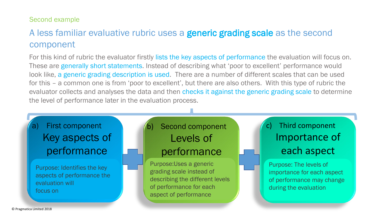#### Second example

# A less familiar evaluative rubric uses a **generic grading scale** as the second component

For this kind of rubric the evaluator firstly lists the key aspects of performance the evaluation will focus on. These are generally short statements. Instead of describing what 'poor to excellent' performance would look like, a generic grading description is used. There are a number of different scales that can be used for this – a common one is from 'poor to excellent', but there are also others. With this type of rubric the evaluator collects and analyses the data and then checks it against the generic grading scale to determine the level of performance later in the evaluation process.

# a) First component Key aspects of performance

Purpose: Identifies the key aspects of performance the evaluation will focus on

# Second component Levels of performance

Purpose:Uses a generic grading scale instead of describing the different levels of performance for each aspect of performance

# c) Third component Importance of each aspect

Purpose: The levels of importance for each aspect of performance may change during the evaluation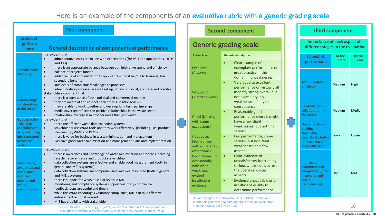#### Here is an example of the components of an evaluative rubric with a generic grading scale

|                                                                                                                     | <b>First component</b>                                                                                                                                                                                                                                                                                                                                                                                                                                                                                                                                                                                                                                                                                                                                                             | <b>Secon</b>                                                                                                                                                    |
|---------------------------------------------------------------------------------------------------------------------|------------------------------------------------------------------------------------------------------------------------------------------------------------------------------------------------------------------------------------------------------------------------------------------------------------------------------------------------------------------------------------------------------------------------------------------------------------------------------------------------------------------------------------------------------------------------------------------------------------------------------------------------------------------------------------------------------------------------------------------------------------------------------------|-----------------------------------------------------------------------------------------------------------------------------------------------------------------|
| <b>Aspect of</b><br>perform-<br>ance                                                                                | <b>General description of components of performance</b>                                                                                                                                                                                                                                                                                                                                                                                                                                                                                                                                                                                                                                                                                                                            | <b>Generic g</b>                                                                                                                                                |
| <b>Administrative</b><br>efficiency                                                                                 | It is evident that:<br>$\bullet$<br>administrative costs are in line with expectations (for PS, Fund applications, DFOs<br>and TAs)<br>there is an appropriate balance between administrative spend and efficiency<br>$\bullet$<br>balance of projects funded<br>$\bullet$<br>added value of administration to applicants - find it helpful to business, has<br>secondary benefits<br>low levels of complaints/challenges to processes<br>$\bullet$<br>administrative processes are well set up, timely or robust, accurate and credible<br>$\bullet$                                                                                                                                                                                                                              | <b>Rating level</b><br>Excellent<br>(Always)                                                                                                                    |
| <b>Relationships-</b><br>collaboration<br>in the sector                                                             | Stakeholders comment that:<br>there is a cognisance of both political and commercial realities<br>$\bullet$<br>they are aware of and respect each other's positions/views<br>they are able to work together and develop long term partnerships<br>$\bullet$<br>media coverage reflects the positive relationships in the waste sector<br>$\bullet$<br>relationship leverage is in broader areas than just waste<br>$\bullet$                                                                                                                                                                                                                                                                                                                                                       | Very good<br>(Almost always)                                                                                                                                    |
| <b>Good practice</b><br>- building<br>capability/cap<br>acity (including<br>infrastructure)<br>across the<br>sector | It is evident that:<br>there are efficient waste data collection systems<br>$\bullet$<br>stakeholders use WMA tools and they work effectively (including TAs, product<br>$\bullet$<br>stewardship, WMF and DFOs)<br>there is value for business in waste minimisation and management<br>$\bullet$<br>$\bullet$<br>TAs have good waste minimisation and management plans and implementation                                                                                                                                                                                                                                                                                                                                                                                         | Good (Mostly,<br>with some<br>exceptions)<br>Adequate:<br>(Sometimes,<br>with quite a few                                                                       |
| Information,<br>awareness and<br>compliance<br>(both in<br>general and<br>MfE's<br>performance)                     | It is evident that:<br>$\bullet$<br>there is awareness and knowledge of waste minimisation approaches including<br>recycle, recover, reuse and product stewardship<br>data collection systems are effective and enable good measurement (both in<br>general and MfE's systems)<br>data collection systems are comprehensive and well resourced (both in general<br>$\bullet$<br>and MfE's systems)<br>there is support for WMA at senior levels in MfE<br>$\bullet$<br>$\bullet$<br>monitoring and compliance systems support voluntary compliance<br>feedback loops are useful and timely<br>$\bullet$<br>while the WMA encourages voluntary compliance, MfE can take effective<br>$\bullet$<br>enforcement action if needed<br>MfE has credibility with stakeholder<br>$\bullet$ | exceptions)<br>Poor: Never (Or<br>occasionally<br>with clear<br>weakness<br>evident)<br>Insufficient<br>evidence<br>Source: Adapted fron<br>methodology basics: |
|                                                                                                                     | Source: Oakden, J., & McKegg, K. (2011). Waste Minimisation Act implementation:<br>evaluation of stakeholder perceptions. Wellington, New Zealand: Kinnect Group                                                                                                                                                                                                                                                                                                                                                                                                                                                                                                                                                                                                                   | Thousand Oaks, CA:                                                                                                                                              |

| <b>Second component</b>                                                      |                                                                                                                                |  | <b>Third component</b>                                                     |                 |               |  |
|------------------------------------------------------------------------------|--------------------------------------------------------------------------------------------------------------------------------|--|----------------------------------------------------------------------------|-----------------|---------------|--|
|                                                                              | <b>Generic grading scale</b>                                                                                                   |  | Importance of each aspect at<br>different stages in the evaluation         |                 |               |  |
| <b>Rating level</b>                                                          | <b>Generic description</b>                                                                                                     |  | <b>Aspect of</b>                                                           | At the<br>start | By the<br>end |  |
| Excellent<br>Always)                                                         | Clear example of<br>exemplary performance or<br>great practice in this<br>domain: no weaknesses.                               |  | performance                                                                |                 |               |  |
| Very good<br>Almost always)                                                  | Very good to excellent<br>$\bullet$<br>performance on virtually all<br>aspects; strong overall but<br>not exemplary; no        |  | <b>Administrative</b><br>efficiency                                        | Medium          | High          |  |
|                                                                              | weaknesses of any real<br>consequence.<br>Reasonably good<br>$\bullet$                                                         |  | Relationships-<br>collaboration in                                         | <b>Medium</b>   | <b>Medium</b> |  |
| Good (Mostly,<br>with some                                                   | performance overall; might<br>have a few slight                                                                                |  | the sector                                                                 |                 |               |  |
| exceptions)                                                                  | weaknesses, but nothing<br>serious.                                                                                            |  | Good practice -<br>building                                                |                 |               |  |
| Adequate:<br>Sometimes,<br>with quite a few<br>exceptions)                   | Fair performance, some<br>$\bullet$<br>serious, but non-fatal<br>weaknesses on a few<br>aspects.                               |  | capability/<br>capacity (including<br>infrastructure)<br>across the sector | Lower           | Lower         |  |
| Poor: Never (Or<br><b>pccasionally</b><br>with clear<br>weakness<br>evident) | Clear evidence of<br>$\bullet$<br>unsatisfactory functioning;<br>serious weaknesses across<br>the board on crucial<br>aspects. |  | Information,<br>awareness and<br>compliance (both<br>in general and        | High            | Mid           |  |
| nsufficient<br>evidence                                                      | Evidence unavailable or of<br>$\bullet$<br>insufficient quality to<br>determine performance.                                   |  | MfE's<br>performance)                                                      |                 |               |  |
| Thousand Oaks, CA: SAGE p. 137                                               | Source: Adapted from Davidson, E. J. (2005). Evaluation<br>methodology basics: the nuts and bolts of sound evaluation.         |  |                                                                            |                 | 10            |  |

© Pragmatica Limited 2018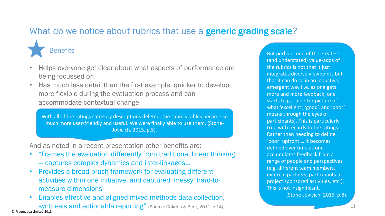### What do we notice about rubrics that use a **generic grading scale**?



- Helps everyone get clear about what aspects of performance are being focussed on
- Has much less detail than the first example, quicker to develop, more flexible during the evaluation process and can accommodate contextual change

With all of the ratings category descriptions deleted, the rubrics tables became so much more user-friendly and useful. We were finally able to use them. (Stone-Jovicich, 2015, p.5).

And as noted in a recent presentation other benefits are:

- "Frames the evaluation differently from traditional linear thinking — captures complex dynamics and inter-linkages…
- Provides a broad-brush framework for evaluating different activities within one initiative, and captured 'messy' hard-tomeasure dimensions
- Enables effective and aligned mixed methods data collection, synthesis and actionable reporting" (Source: Oakden & Bear, 2011, p.14) © Pragmatica Limited 2018

But perhaps one of the greatest (and understated) value-adds of the rubrics is not that it just integrates diverse viewpoints but that it can do so in an inductive, emergent way (i.e. as one gets more and more feedback, one starts to get a better picture of what 'excellent', 'good', and 'poor' means through the eyes of participants). This is particularly true with regards to the ratings. Rather than needing to define 'poor' upfront … it becomes defined over time as one accumulates feedback from a range of people and perspectives (e.g. different team members, external partners, participants in project sponsored activities, etc.). This is not insignificant. (Stone-Jovicich, 2015, p.8).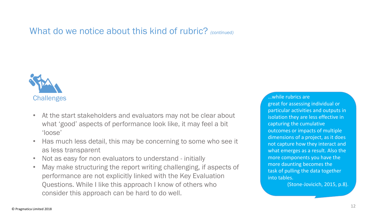What do we notice about this kind of rubric? *(continued)*



- At the start stakeholders and evaluators may not be clear about what 'good' aspects of performance look like, it may feel a bit 'loose'
- Has much less detail, this may be concerning to some who see it as less transparent
- Not as easy for non evaluators to understand initially
- May make structuring the report writing challenging, if aspects of performance are not explicitly linked with the Key Evaluation Questions. While I like this approach I know of others who consider this approach can be hard to do well.

…while rubrics are great for assessing individual or particular activities and outputs in isolation they are less effective in capturing the cumulative outcomes or impacts of multiple dimensions of a project, as it does not capture how they interact and what emerges as a result. Also the more components you have the more daunting becomes the task of pulling the data together into tables.

(Stone-Jovicich, 2015, p.8).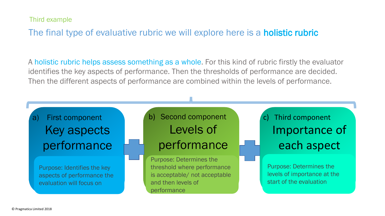Third example

### The final type of evaluative rubric we will explore here is a **holistic rubric**

A holistic rubric helps assess something as a whole. For this kind of rubric firstly the evaluator identifies the key aspects of performance. Then the thresholds of performance are decided. Then the different aspects of performance are combined within the levels of performance.

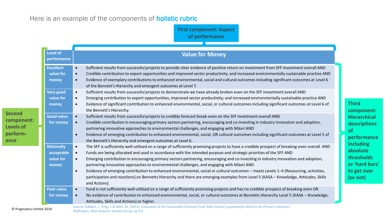#### Here is an example of the components of **holistic rubric**

**First component: Aspect of performance**

|                                                                     | <b>Level of</b><br>performance                       | <b>Value for Money</b>                                                                                                                                                                                                                                                                                                                                                                                                                                                                                                                                                                                                                                                                                                                                                                                                           |  |  |
|---------------------------------------------------------------------|------------------------------------------------------|----------------------------------------------------------------------------------------------------------------------------------------------------------------------------------------------------------------------------------------------------------------------------------------------------------------------------------------------------------------------------------------------------------------------------------------------------------------------------------------------------------------------------------------------------------------------------------------------------------------------------------------------------------------------------------------------------------------------------------------------------------------------------------------------------------------------------------|--|--|
|                                                                     | <b>Excellent</b><br>value for<br>money               | Sufficient results from successful projects to provide clear evidence of positive return on investment from SFF investment overall AND<br>Credible contribution to export opportunities and improved sector productivity; and increased environmentally sustainable practice AND<br>$\bullet$<br>Evidence of exemplary contributions to enhanced environmental, social and cultural outcomes including significant outcomes at Level 6<br>$\bullet$<br>of the Bennett's Hierarchy and emergent outcomes at Level 7.                                                                                                                                                                                                                                                                                                              |  |  |
| <b>Second</b><br>component:<br><b>Levels of</b><br>perform-<br>ance | <b>Very good</b><br>value for<br>money               | Sufficient results from successful projects to demonstrate we have already broken even on the SFF investment overall AND<br>$\bullet$<br>Emerging contribution to export opportunities, improved sector productivity; and increased environmentally sustainable practice AND<br>Evidence of significant contribution to enhanced environmental, social, or cultural outcomes including significant outcomes at Level 6 of<br>the Bennett's Hierarchy.                                                                                                                                                                                                                                                                                                                                                                            |  |  |
|                                                                     | <b>Good value</b><br>for money                       | Sufficient results from successful projects to credibly forecast break-even on the SFF investment overall AND<br>$\bullet$<br>Credible contribution in encouraging primary sectors partnering, encouraging and co-investing in industry innovation and adoption,<br>$\bullet$<br>partnering innovative approaches to environmental challenges, and engaging with Māori AND<br>Evidence of emerging contribution to enhanced environmental, social, OR cultural outcomes including significant outcomes at Level 5 of<br>$\bullet$<br>the Bennett's Hierarchy and emergent outcomes at Level 6.                                                                                                                                                                                                                                   |  |  |
|                                                                     | <b>Minimally</b><br>acceptable<br>value for<br>money | The SFF is sufficiently well-utilised on a range of sufficiently promising projects to have a credible prospect of breaking even overall AND<br>$\bullet$<br>Funds are being allocated and used in accordance with the intended purpose and strategic priorities of the SFF AND<br>Emerging contribution in encouraging primary sectors partnering, encouraging and co-investing in industry innovation and adoption,<br>partnering innovative approaches to environmental challenges, and engaging with Māori AND<br>Evidence of emerging contribution to enhanced environmental, social or cultural outcomes - meets Levels 1-4 (Resourcing, activities,<br>$\bullet$<br>participation and reactions) on Bennetts Hierarchy and there are emerging examples from Level 5 (KASA - Knowledge, Attitudes, Skills<br>and Actions). |  |  |
|                                                                     | <b>Poor value</b><br>for money                       | Fund is not sufficiently well-utilised on a range of sufficiently promising projects and has no credible prospect of breaking even OR<br>$\bullet$<br>No evidence of contribution to enhanced environmental, social, or cultural outcomes at Bennetts Hierarchy Level 5 (KASA - Knowledge,<br>Attitudes, Skills and Actions) or higher.<br>Source: Oakden J. King J. & Allen W. (2014), Evaluation of the Sustainable Farming Fund: Main Report, prepared for Ministry for Primary Industries                                                                                                                                                                                                                                                                                                                                    |  |  |

**component: Hierarchical descriptions of performance including absolute thresholds or 'hard bars' to get over (or not)**

uation of the Sustainable Farming Funa: *Wain Report, preparea for Ministry for Primary inaustries*. O Pragmatica Limited 2018<br>Wellington, New Zealand: Kinnect Group. (p.57)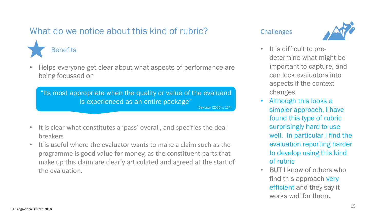# What do we notice about this kind of rubric?



• Helps everyone get clear about what aspects of performance are being focussed on

"Its most appropriate when the quality or value of the evaluand is experienced as an entire package" (Davidson (2005) p 104)

- It is clear what constitutes a 'pass' overall, and specifies the deal breakers
- It is useful where the evaluator wants to make a claim such as the programme is good value for money, as the constituent parts that make up this claim are clearly articulated and agreed at the start of the evaluation.

#### **Challenges**



- It is difficult to predetermine what might be important to capture, and can lock evaluators into aspects if the context changes
- Although this looks a simpler approach, I have found this type of rubric surprisingly hard to use well. In particular I find the evaluation reporting harder to develop using this kind of rubric
- BUT I know of others who find this approach very efficient and they say it works well for them.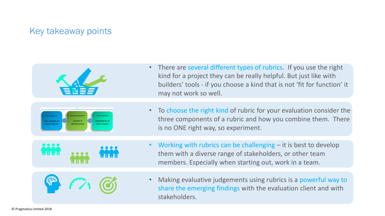### Key takeaway points



There are several different types of rubrics. If you use the right kind for a project they can be really helpful. But just like with builders' tools - if you choose a kind that is not 'fit for function' it may not work so well.



To choose the right kind of rubric for your evaluation consider the three components of a rubric and how you combine them. There is no ONE right way, so experiment.



- Working with rubrics can be challenging  $-$  it is best to develop them with a diverse range of stakeholders, or other team members. Especially when starting out, work in a team.
- Making evaluative judgements using rubrics is a powerful way to share the emerging findings with the evaluation client and with stakeholders.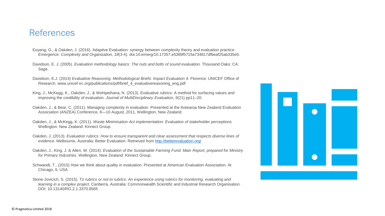### References

- Eoyang, G., & Oakden, J. (2016). Adaptive Evaluation: synergy between complexity theory and evaluation practice. *Emergence: Complexity and Organization, 18*(3-4). doi:10.emerg/10.17357.e5389f5715a734817dfbeaf25ab335e5.
- Davidson, E. J. (2005). *Evaluation methodology basics: The nuts and bolts of sound evaluation.* Thousand Oaks: CA: Sage.
- Davidson, E.J. (2014) *Evaluative Reasoning. Methodological Briefs: Impact Evaluation 4. Florence: UNICEF Office of* Research. www.unicef-irc.org/publications/pdf/brief\_4\_evaluativereasoning\_eng.pdf
- King, J., McKegg, K., Oakden, J., & Wehipeihana, N. (2013). Evaluative rubrics: A method for surfacing values and improving the credibility of evaluation. *Journal of MultiDisciplinary Evaluation, 9*(21) pp11–20.
- Oakden, J., & Bear, C. (2011). Managing complexity in evaluation. Presented at the Aotearoa New Zealand Evaluation Association (ANZEA) Conference, 8—10 August, 2011, Wellington, New Zealand.
- Oakden, J., & McKegg, K. (2011). *Waste Minimisation Act implementation: Evaluation of stakeholder perceptions.* Wellington. New Zealand: Kinnect Group.
- Oakden, J. (2013). *Evaluation rubrics: How to ensure transparent and clear assessment that respects diverse lines of evidence*. Melbourne, Australia: Better Evaluation. Retrieved from <http://betterevaluation.org/>
- Oakden, J., King, J. & Allen, W. (2014). *Evaluation of the Sustainable Farming Fund: Main Report, prepared for Ministry for Primary Industries*. Wellington, New Zealand: Kinnect Group.
- Schwandt, T., (2015) How we think about quality in evaluation. Presented at American Evaluation Association, At Chicago, IL USA
- Stone-Jovicich, S. (2015). *To rubrics or not to rubrics: An experience using rubrics for monitoring, evaluating and learning in a complex project.* Canberra, Australia: Commonwealth Scientific and Industrial Research Organisation. DOI: 10.13140/RG.2.1.3370.8565